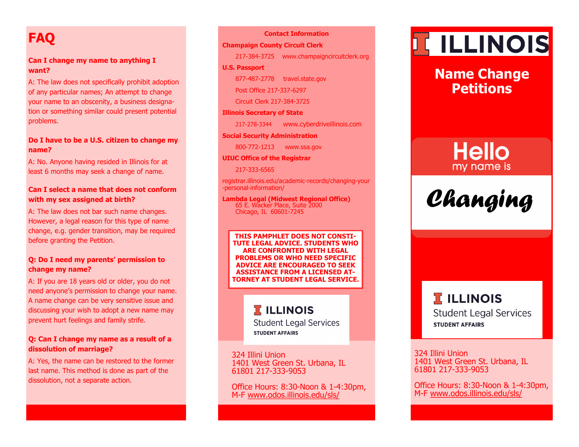# **FAQ**

### **Can I change my name to anything I want?**

A: The law does not specifically prohibit adoption of any particular names; An attempt to change your name to an obscenity, a business designation or something similar could present potential problems.

### **Do I have to be a U.S. citizen to change my name?**

A: No. Anyone having resided in Illinois for at least 6 months may seek a change of name.

### **Can I select a name that does not conform with my sex assigned at birth?**

A: The law does not bar such name changes. However, a legal reason for this type of name change, e.g. gender transition, may be required before granting the Petition.

### **Q: Do I need my parents' permission to change my name?**

A: If you are 18 years old or older, you do not need anyone's permission to change your name. A name change can be very sensitive issue and discussing your wish to adopt a new name may prevent hurt feelings and family strife.

### **Q: Can I change my name as a result of a dissolution of marriage?**

A: Yes, the name can be restored to the former last name. This method is done as part of the dissolution, not a separate action.

#### **Contact Information**

### **Champaign County Circuit Clerk**

217-384-3725 www.champaigncircuitclerk.org

### **U.S. Passport**

877-487-2778 travel.state.gov

Post Office 217-337-6297

Circuit Clerk 217-384-3725

### **Illinois Secretary of State**

217-278-3344 www.cyberdriveillinois.com

#### **Social Security Administration**

800-772-1213 www.ssa.gov

#### **UIUC Office of the Registrar**

217-333-6565

registrar.illinois.edu/academic-records/changing-your -personal-information/

#### **Lambda Legal (Midwest Regional Office)** 65 E. Wacker Place, Suite 2000 Chicago, IL 60601-7245

**THIS PAMPHLET DOES NOT CONSTI-TUTE LEGAL ADVICE. STUDENTS WHO ARE CONFRONTED WITH LEGAL PROBLEMS OR WHO NEED SPECIFIC ADVICE ARE ENCOURAGED TO SEEK ASSISTANCE FROM A LICENSED AT-TORNEY AT STUDENT LEGAL SERVICE.** 

# **TELLINOIS**

**Student Legal Services STUDENT AFFAIRS** 

324 Illini Union 1401 West Green St. Urbana, IL 61801 217-333-9053

Office Hours: 8:30-Noon & 1-4:30pm, M-F [www.odos.illinois.edu/sls/](https://odos.illinois.edu/sls/)

# **TELLINOIS**

# **Name Change Petitions**

# **Hello** my name is

*Changing*

# **TELLINOIS Student Legal Services STUDENT AFFAIRS**

324 Illini Union 1401 West Green St. Urbana, IL 61801 217-333-9053

Office Hours: 8:30-Noon & 1-4:30pm, M-F [www.odos.illinois.edu/sls/](https://odos.illinois.edu/sls/)